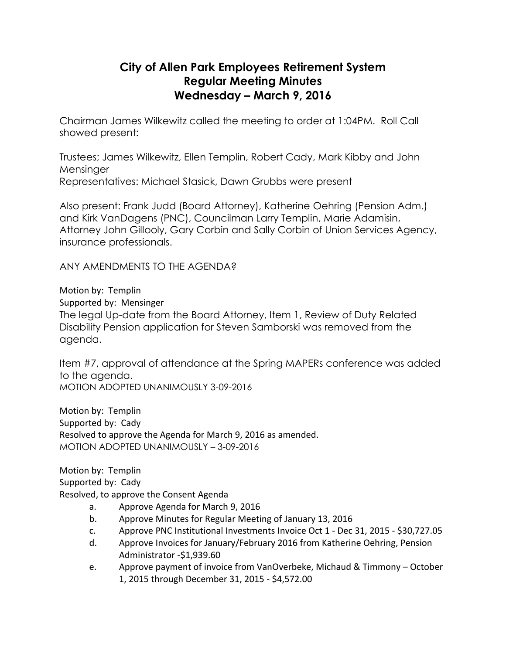## **City of Allen Park Employees Retirement System Regular Meeting Minutes Wednesday – March 9, 2016**

Chairman James Wilkewitz called the meeting to order at 1:04PM. Roll Call showed present:

Trustees; James Wilkewitz, Ellen Templin, Robert Cady, Mark Kibby and John Mensinger Representatives: Michael Stasick, Dawn Grubbs were present

Also present: Frank Judd (Board Attorney), Katherine Oehring (Pension Adm.) and Kirk VanDagens (PNC), Councilman Larry Templin, Marie Adamisin, Attorney John Gillooly, Gary Corbin and Sally Corbin of Union Services Agency, insurance professionals.

ANY AMENDMENTS TO THE AGENDA?

Motion by: Templin

Supported by: Mensinger

The legal Up-date from the Board Attorney, Item 1, Review of Duty Related Disability Pension application for Steven Samborski was removed from the agenda.

Item #7, approval of attendance at the Spring MAPERs conference was added to the agenda. MOTION ADOPTED UNANIMOUSLY 3-09-2016

Motion by: Templin Supported by: Cady Resolved to approve the Agenda for March 9, 2016 as amended. MOTION ADOPTED UNANIMOUSLY – 3-09-2016

Motion by: Templin Supported by: Cady Resolved, to approve the Consent Agenda

- a. Approve Agenda for March 9, 2016
- b. Approve Minutes for Regular Meeting of January 13, 2016
- c. Approve PNC Institutional Investments Invoice Oct 1 Dec 31, 2015 \$30,727.05
- d. Approve Invoices for January/February 2016 from Katherine Oehring, Pension Administrator -\$1,939.60
- e. Approve payment of invoice from VanOverbeke, Michaud & Timmony October 1, 2015 through December 31, 2015 - \$4,572.00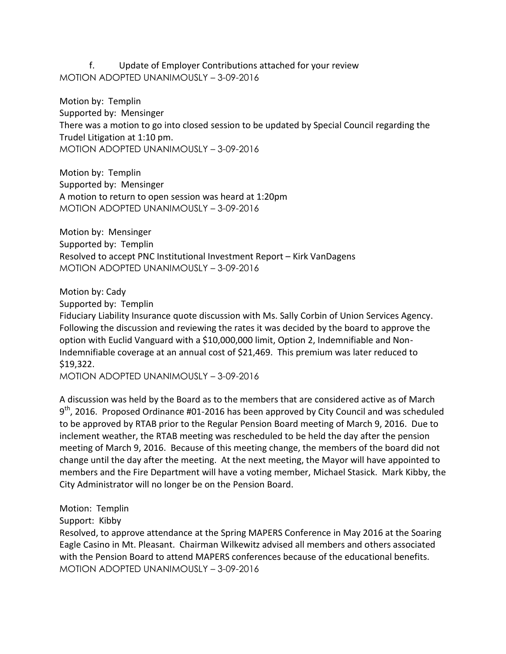## f. Update of Employer Contributions attached for your review MOTION ADOPTED UNANIMOUSLY – 3-09-2016

Motion by: Templin Supported by: Mensinger There was a motion to go into closed session to be updated by Special Council regarding the Trudel Litigation at 1:10 pm. MOTION ADOPTED UNANIMOUSLY – 3-09-2016

Motion by: Templin Supported by: Mensinger A motion to return to open session was heard at 1:20pm MOTION ADOPTED UNANIMOUSLY – 3-09-2016

Motion by: Mensinger Supported by: Templin Resolved to accept PNC Institutional Investment Report – Kirk VanDagens MOTION ADOPTED UNANIMOUSLY – 3-09-2016

Motion by: Cady

Supported by: Templin

Fiduciary Liability Insurance quote discussion with Ms. Sally Corbin of Union Services Agency. Following the discussion and reviewing the rates it was decided by the board to approve the option with Euclid Vanguard with a \$10,000,000 limit, Option 2, Indemnifiable and Non-Indemnifiable coverage at an annual cost of \$21,469. This premium was later reduced to \$19,322.

MOTION ADOPTED UNANIMOUSLY – 3-09-2016

A discussion was held by the Board as to the members that are considered active as of March 9<sup>th</sup>, 2016. Proposed Ordinance #01-2016 has been approved by City Council and was scheduled to be approved by RTAB prior to the Regular Pension Board meeting of March 9, 2016. Due to inclement weather, the RTAB meeting was rescheduled to be held the day after the pension meeting of March 9, 2016. Because of this meeting change, the members of the board did not change until the day after the meeting. At the next meeting, the Mayor will have appointed to members and the Fire Department will have a voting member, Michael Stasick. Mark Kibby, the City Administrator will no longer be on the Pension Board.

Motion: Templin

Support: Kibby

Resolved, to approve attendance at the Spring MAPERS Conference in May 2016 at the Soaring Eagle Casino in Mt. Pleasant. Chairman Wilkewitz advised all members and others associated with the Pension Board to attend MAPERS conferences because of the educational benefits. MOTION ADOPTED UNANIMOUSLY – 3-09-2016